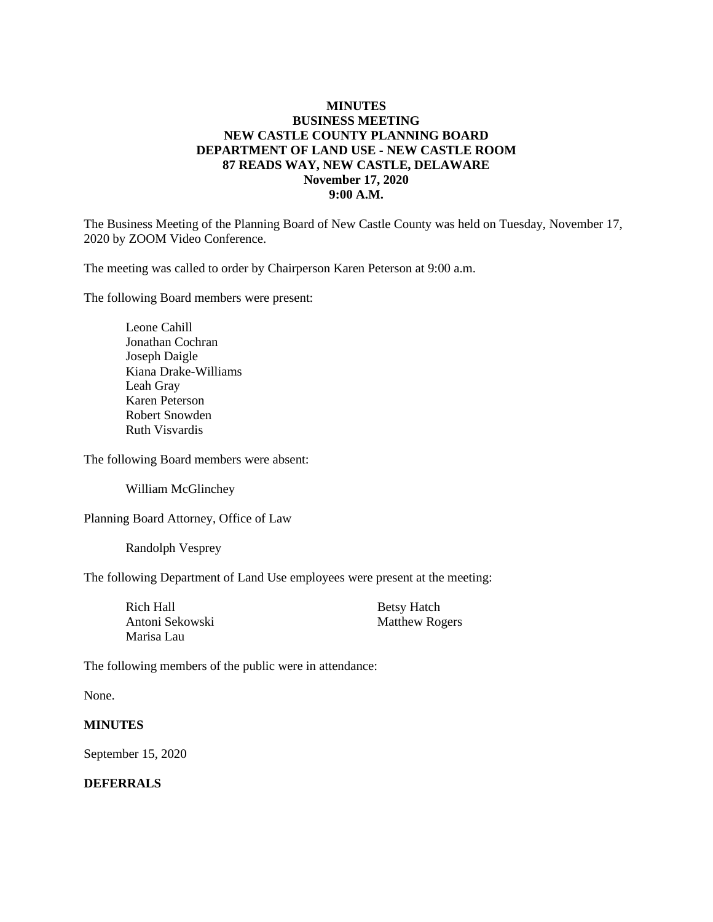### **MINUTES BUSINESS MEETING NEW CASTLE COUNTY PLANNING BOARD DEPARTMENT OF LAND USE - NEW CASTLE ROOM 87 READS WAY, NEW CASTLE, DELAWARE November 17, 2020 9:00 A.M.**

The Business Meeting of the Planning Board of New Castle County was held on Tuesday, November 17, 2020 by ZOOM Video Conference.

The meeting was called to order by Chairperson Karen Peterson at 9:00 a.m.

The following Board members were present:

Leone Cahill Jonathan Cochran Joseph Daigle Kiana Drake-Williams Leah Gray Karen Peterson Robert Snowden Ruth Visvardis

The following Board members were absent:

William McGlinchey

Planning Board Attorney, Office of Law

Randolph Vesprey

The following Department of Land Use employees were present at the meeting:

| Rich Hall       | <b>Betsy Hatch</b>    |
|-----------------|-----------------------|
| Antoni Sekowski | <b>Matthew Rogers</b> |
| Marisa Lau      |                       |

The following members of the public were in attendance:

None.

#### **MINUTES**

September 15, 2020

#### **DEFERRALS**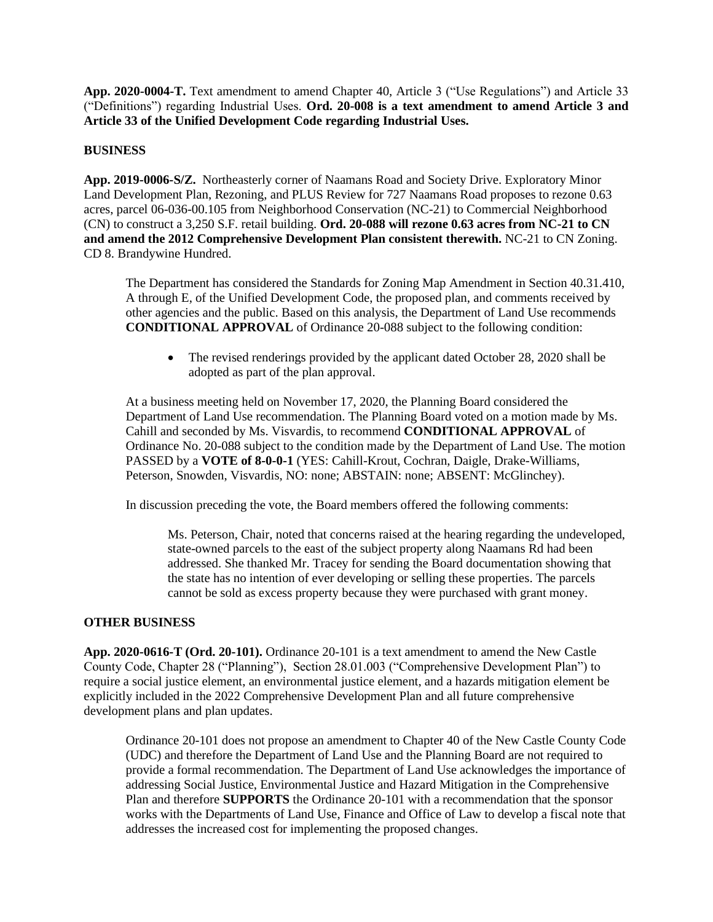**App. 2020-0004-T.** Text amendment to amend Chapter 40, Article 3 ("Use Regulations") and Article 33 ("Definitions") regarding Industrial Uses. **Ord. 20-008 is a text amendment to amend Article 3 and Article 33 of the Unified Development Code regarding Industrial Uses.**

#### **BUSINESS**

**App. 2019-0006-S/Z.** Northeasterly corner of Naamans Road and Society Drive. Exploratory Minor Land Development Plan, Rezoning, and PLUS Review for 727 Naamans Road proposes to rezone 0.63 acres, parcel 06-036-00.105 from Neighborhood Conservation (NC-21) to Commercial Neighborhood (CN) to construct a 3,250 S.F. retail building. **Ord. 20-088 will rezone 0.63 acres from NC-21 to CN and amend the 2012 Comprehensive Development Plan consistent therewith.** NC-21 to CN Zoning. CD 8. Brandywine Hundred.

The Department has considered the Standards for Zoning Map Amendment in Section 40.31.410, A through E, of the Unified Development Code, the proposed plan, and comments received by other agencies and the public. Based on this analysis, the Department of Land Use recommends **CONDITIONAL APPROVAL** of Ordinance 20-088 subject to the following condition:

• The revised renderings provided by the applicant dated October 28, 2020 shall be adopted as part of the plan approval.

At a business meeting held on November 17, 2020, the Planning Board considered the Department of Land Use recommendation. The Planning Board voted on a motion made by Ms. Cahill and seconded by Ms. Visvardis, to recommend **CONDITIONAL APPROVAL** of Ordinance No. 20-088 subject to the condition made by the Department of Land Use. The motion PASSED by a **VOTE of 8-0-0-1** (YES: Cahill-Krout, Cochran, Daigle, Drake-Williams, Peterson, Snowden, Visvardis, NO: none; ABSTAIN: none; ABSENT: McGlinchey).

In discussion preceding the vote, the Board members offered the following comments:

Ms. Peterson, Chair, noted that concerns raised at the hearing regarding the undeveloped, state-owned parcels to the east of the subject property along Naamans Rd had been addressed. She thanked Mr. Tracey for sending the Board documentation showing that the state has no intention of ever developing or selling these properties. The parcels cannot be sold as excess property because they were purchased with grant money.

#### **OTHER BUSINESS**

**App. 2020-0616-T (Ord. 20-101).** Ordinance 20-101 is a text amendment to amend the New Castle County Code, Chapter 28 ("Planning"), Section 28.01.003 ("Comprehensive Development Plan") to require a social justice element, an environmental justice element, and a hazards mitigation element be explicitly included in the 2022 Comprehensive Development Plan and all future comprehensive development plans and plan updates.

Ordinance 20-101 does not propose an amendment to Chapter 40 of the New Castle County Code (UDC) and therefore the Department of Land Use and the Planning Board are not required to provide a formal recommendation. The Department of Land Use acknowledges the importance of addressing Social Justice, Environmental Justice and Hazard Mitigation in the Comprehensive Plan and therefore **SUPPORTS** the Ordinance 20-101 with a recommendation that the sponsor works with the Departments of Land Use, Finance and Office of Law to develop a fiscal note that addresses the increased cost for implementing the proposed changes.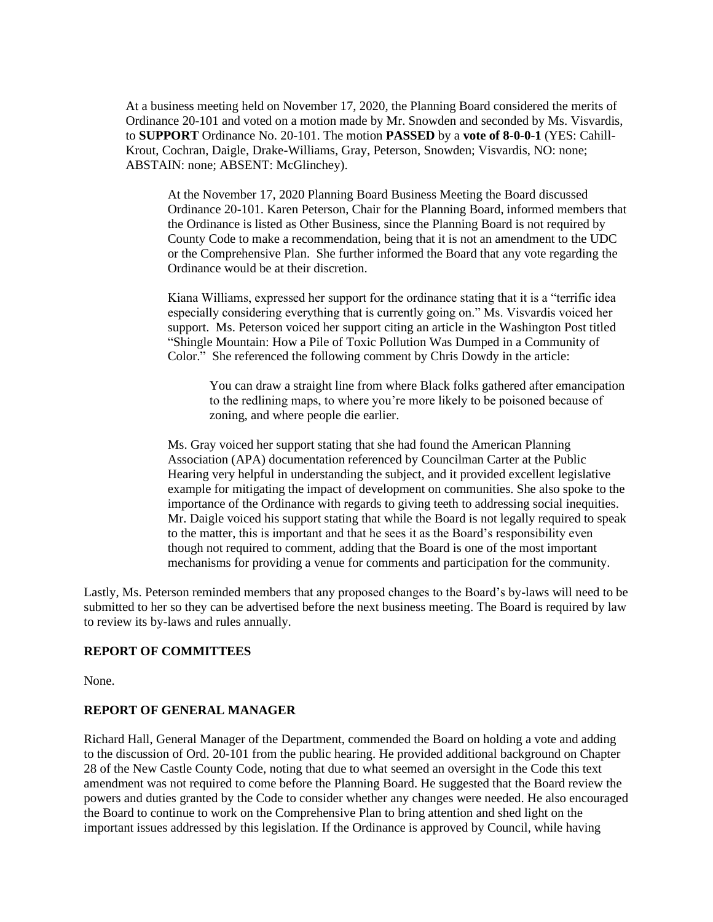At a business meeting held on November 17, 2020, the Planning Board considered the merits of Ordinance 20-101 and voted on a motion made by Mr. Snowden and seconded by Ms. Visvardis, to **SUPPORT** Ordinance No. 20-101. The motion **PASSED** by a **vote of 8-0-0-1** (YES: Cahill-Krout, Cochran, Daigle, Drake-Williams, Gray, Peterson, Snowden; Visvardis, NO: none; ABSTAIN: none; ABSENT: McGlinchey).

At the November 17, 2020 Planning Board Business Meeting the Board discussed Ordinance 20-101. Karen Peterson, Chair for the Planning Board, informed members that the Ordinance is listed as Other Business, since the Planning Board is not required by County Code to make a recommendation, being that it is not an amendment to the UDC or the Comprehensive Plan. She further informed the Board that any vote regarding the Ordinance would be at their discretion.

Kiana Williams, expressed her support for the ordinance stating that it is a "terrific idea especially considering everything that is currently going on." Ms. Visvardis voiced her support. Ms. Peterson voiced her support citing an article in the Washington Post titled "Shingle Mountain: How a Pile of Toxic Pollution Was Dumped in a Community of Color." She referenced the following comment by Chris Dowdy in the article:

You can draw a straight line from where Black folks gathered after emancipation to the redlining maps, to where you're more likely to be poisoned because of zoning, and where people die earlier.

Ms. Gray voiced her support stating that she had found the American Planning Association (APA) documentation referenced by Councilman Carter at the Public Hearing very helpful in understanding the subject, and it provided excellent legislative example for mitigating the impact of development on communities. She also spoke to the importance of the Ordinance with regards to giving teeth to addressing social inequities. Mr. Daigle voiced his support stating that while the Board is not legally required to speak to the matter, this is important and that he sees it as the Board's responsibility even though not required to comment, adding that the Board is one of the most important mechanisms for providing a venue for comments and participation for the community.

Lastly, Ms. Peterson reminded members that any proposed changes to the Board's by-laws will need to be submitted to her so they can be advertised before the next business meeting. The Board is required by law to review its by-laws and rules annually.

#### **REPORT OF COMMITTEES**

None.

#### **REPORT OF GENERAL MANAGER**

Richard Hall, General Manager of the Department, commended the Board on holding a vote and adding to the discussion of Ord. 20-101 from the public hearing. He provided additional background on Chapter 28 of the New Castle County Code, noting that due to what seemed an oversight in the Code this text amendment was not required to come before the Planning Board. He suggested that the Board review the powers and duties granted by the Code to consider whether any changes were needed. He also encouraged the Board to continue to work on the Comprehensive Plan to bring attention and shed light on the important issues addressed by this legislation. If the Ordinance is approved by Council, while having